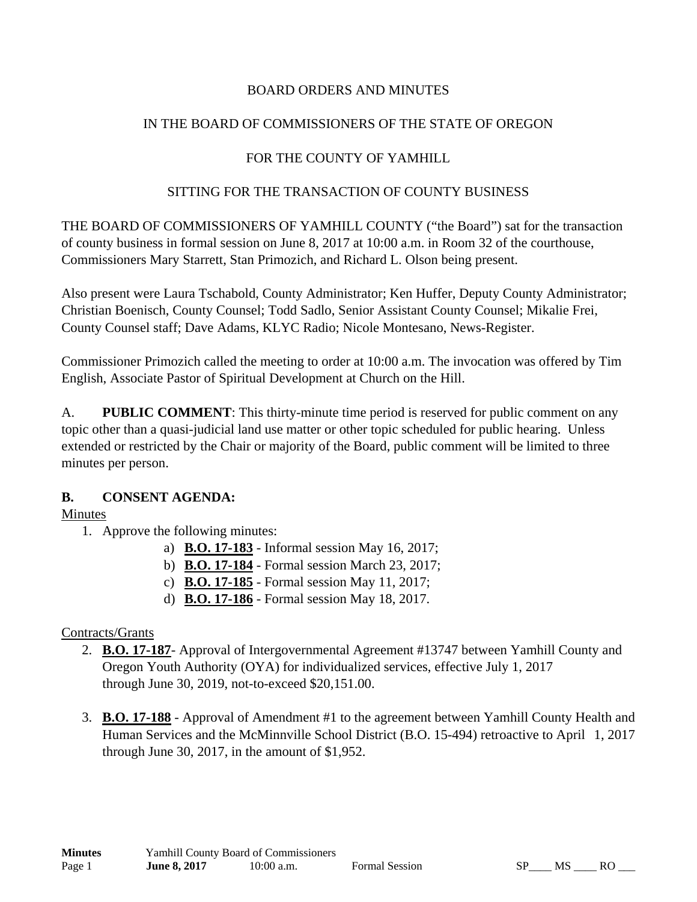#### BOARD ORDERS AND MINUTES

### IN THE BOARD OF COMMISSIONERS OF THE STATE OF OREGON

## FOR THE COUNTY OF YAMHILL

#### SITTING FOR THE TRANSACTION OF COUNTY BUSINESS

THE BOARD OF COMMISSIONERS OF YAMHILL COUNTY ("the Board") sat for the transaction of county business in formal session on June 8, 2017 at 10:00 a.m. in Room 32 of the courthouse, Commissioners Mary Starrett, Stan Primozich, and Richard L. Olson being present.

Also present were Laura Tschabold, County Administrator; Ken Huffer, Deputy County Administrator; Christian Boenisch, County Counsel; Todd Sadlo, Senior Assistant County Counsel; Mikalie Frei, County Counsel staff; Dave Adams, KLYC Radio; Nicole Montesano, News-Register.

Commissioner Primozich called the meeting to order at 10:00 a.m. The invocation was offered by Tim English, Associate Pastor of Spiritual Development at Church on the Hill.

A. **PUBLIC COMMENT**: This thirty-minute time period is reserved for public comment on any topic other than a quasi-judicial land use matter or other topic scheduled for public hearing. Unless extended or restricted by the Chair or majority of the Board, public comment will be limited to three minutes per person.

## **B. CONSENT AGENDA:**

#### Minutes

- 1. Approve the following minutes:
	- a) **B.O. 17-183** Informal session May 16, 2017;
	- b) **B.O. 17-184** Formal session March 23, 2017;
	- c) **B.O. 17-185** Formal session May 11, 2017;
	- d) **B.O. 17-186** Formal session May 18, 2017.

## Contracts/Grants

- 2. **B.O. 17-187** Approval of Intergovernmental Agreement #13747 between Yamhill County and Oregon Youth Authority (OYA) for individualized services, effective July 1, 2017 through June 30, 2019, not-to-exceed \$20,151.00.
- 3. **B.O. 17-188** Approval of Amendment #1 to the agreement between Yamhill County Health and Human Services and the McMinnville School District (B.O. 15-494) retroactive to April 1, 2017 through June 30, 2017, in the amount of \$1,952.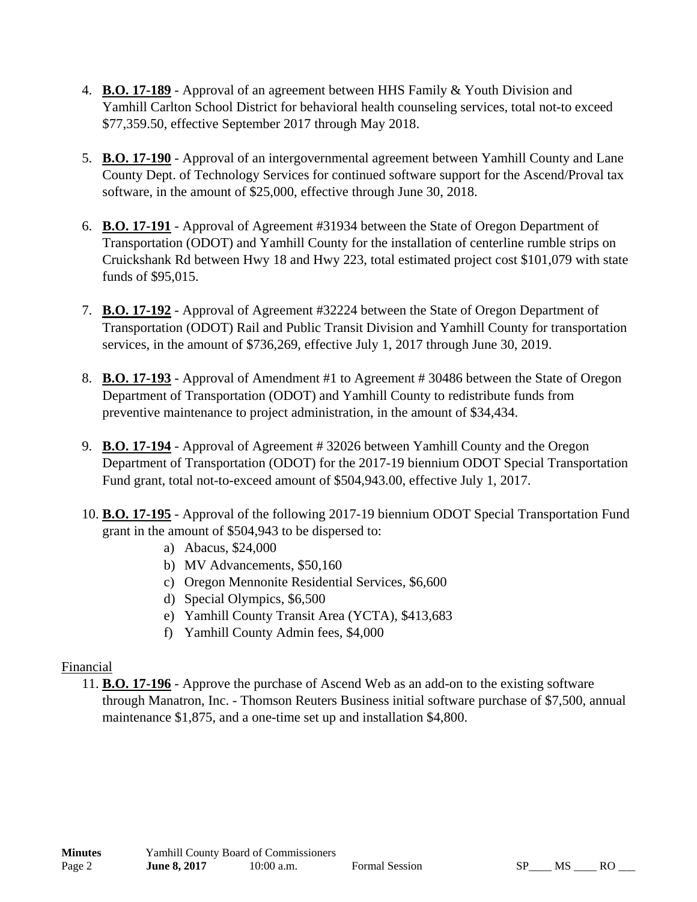- 4. **B.O. 17-189** Approval of an agreement between HHS Family & Youth Division and Yamhill Carlton School District for behavioral health counseling services, total not-to exceed \$77,359.50, effective September 2017 through May 2018.
- 5. **B.O. 17-190** Approval of an intergovernmental agreement between Yamhill County and Lane County Dept. of Technology Services for continued software support for the Ascend/Proval tax software, in the amount of \$25,000, effective through June 30, 2018.
- 6. **B.O. 17-191** Approval of Agreement #31934 between the State of Oregon Department of Transportation (ODOT) and Yamhill County for the installation of centerline rumble strips on Cruickshank Rd between Hwy 18 and Hwy 223, total estimated project cost \$101,079 with state funds of \$95,015.
- 7. **B.O. 17-192** Approval of Agreement #32224 between the State of Oregon Department of Transportation (ODOT) Rail and Public Transit Division and Yamhill County for transportation services, in the amount of \$736,269, effective July 1, 2017 through June 30, 2019.
- 8. **B.O. 17-193** Approval of Amendment #1 to Agreement # 30486 between the State of Oregon Department of Transportation (ODOT) and Yamhill County to redistribute funds from preventive maintenance to project administration, in the amount of \$34,434.
- 9. **B.O. 17-194** Approval of Agreement # 32026 between Yamhill County and the Oregon Department of Transportation (ODOT) for the 2017-19 biennium ODOT Special Transportation Fund grant, total not-to-exceed amount of \$504,943.00, effective July 1, 2017.
- 10. **B.O. 17-195** Approval of the following 2017-19 biennium ODOT Special Transportation Fund grant in the amount of \$504,943 to be dispersed to:
	- a) Abacus, \$24,000
	- b) MV Advancements, \$50,160
	- c) Oregon Mennonite Residential Services, \$6,600
	- d) Special Olympics, \$6,500
	- e) Yamhill County Transit Area (YCTA), \$413,683
	- f) Yamhill County Admin fees, \$4,000

## Financial

11. **B.O. 17-196** - Approve the purchase of Ascend Web as an add-on to the existing software through Manatron, Inc. - Thomson Reuters Business initial software purchase of \$7,500, annual maintenance \$1,875, and a one-time set up and installation \$4,800.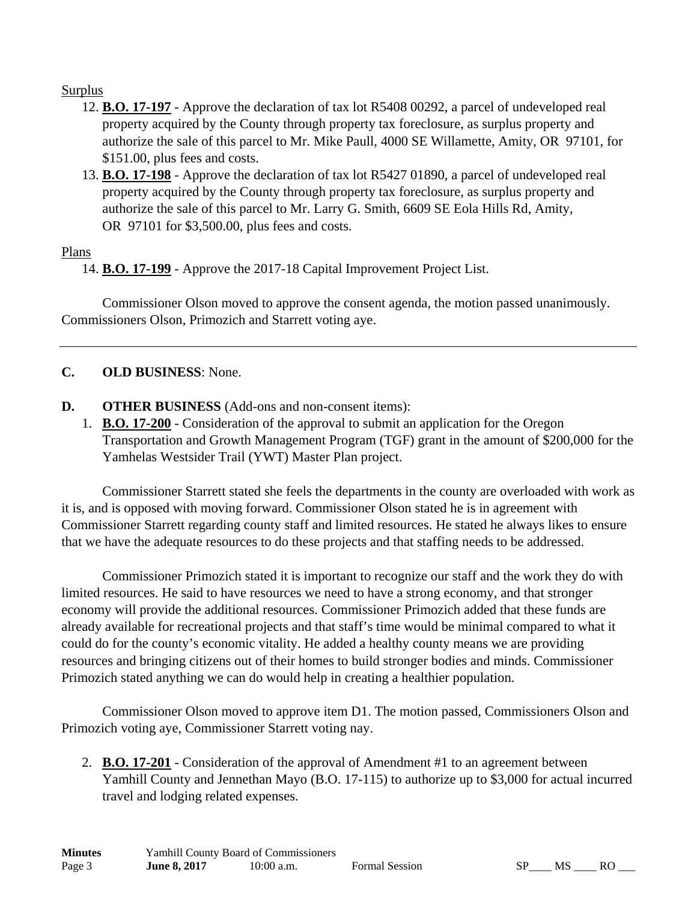#### Surplus

- 12. **B.O. 17-197** Approve the declaration of tax lot R5408 00292, a parcel of undeveloped real property acquired by the County through property tax foreclosure, as surplus property and authorize the sale of this parcel to Mr. Mike Paull, 4000 SE Willamette, Amity, OR 97101, for \$151.00, plus fees and costs.
- 13. **B.O. 17-198** Approve the declaration of tax lot R5427 01890, a parcel of undeveloped real property acquired by the County through property tax foreclosure, as surplus property and authorize the sale of this parcel to Mr. Larry G. Smith, 6609 SE Eola Hills Rd, Amity, OR 97101 for \$3,500.00, plus fees and costs.

#### Plans

14. **B.O. 17-199** - Approve the 2017-18 Capital Improvement Project List.

 Commissioner Olson moved to approve the consent agenda, the motion passed unanimously. Commissioners Olson, Primozich and Starrett voting aye.

## **C. OLD BUSINESS**: None.

- **D. OTHER BUSINESS** (Add-ons and non-consent items):
	- 1. **B.O. 17-200** Consideration of the approval to submit an application for the Oregon Transportation and Growth Management Program (TGF) grant in the amount of \$200,000 for the Yamhelas Westsider Trail (YWT) Master Plan project.

 Commissioner Starrett stated she feels the departments in the county are overloaded with work as it is, and is opposed with moving forward. Commissioner Olson stated he is in agreement with Commissioner Starrett regarding county staff and limited resources. He stated he always likes to ensure that we have the adequate resources to do these projects and that staffing needs to be addressed.

 Commissioner Primozich stated it is important to recognize our staff and the work they do with limited resources. He said to have resources we need to have a strong economy, and that stronger economy will provide the additional resources. Commissioner Primozich added that these funds are already available for recreational projects and that staff's time would be minimal compared to what it could do for the county's economic vitality. He added a healthy county means we are providing resources and bringing citizens out of their homes to build stronger bodies and minds. Commissioner Primozich stated anything we can do would help in creating a healthier population.

 Commissioner Olson moved to approve item D1. The motion passed, Commissioners Olson and Primozich voting aye, Commissioner Starrett voting nay.

2. **B.O. 17-201** - Consideration of the approval of Amendment #1 to an agreement between Yamhill County and Jennethan Mayo (B.O. 17-115) to authorize up to \$3,000 for actual incurred travel and lodging related expenses.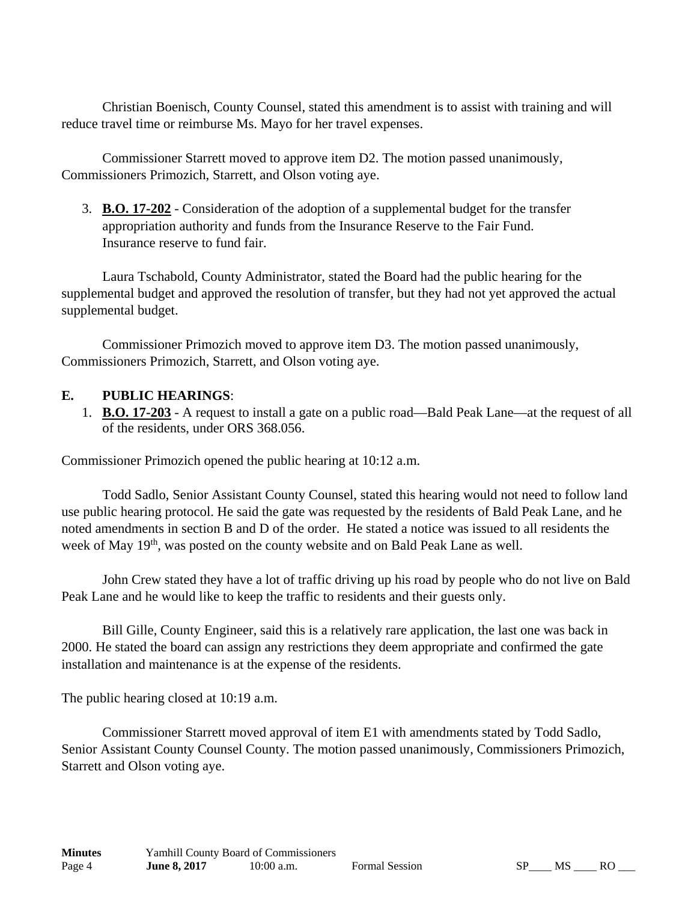Christian Boenisch, County Counsel, stated this amendment is to assist with training and will reduce travel time or reimburse Ms. Mayo for her travel expenses.

 Commissioner Starrett moved to approve item D2. The motion passed unanimously, Commissioners Primozich, Starrett, and Olson voting aye.

3. **B.O. 17-202** - Consideration of the adoption of a supplemental budget for the transfer appropriation authority and funds from the Insurance Reserve to the Fair Fund. Insurance reserve to fund fair.

 Laura Tschabold, County Administrator, stated the Board had the public hearing for the supplemental budget and approved the resolution of transfer, but they had not yet approved the actual supplemental budget.

 Commissioner Primozich moved to approve item D3. The motion passed unanimously, Commissioners Primozich, Starrett, and Olson voting aye.

#### **E. PUBLIC HEARINGS**:

1. **B.O. 17-203** - A request to install a gate on a public road—Bald Peak Lane—at the request of all of the residents, under ORS 368.056.

Commissioner Primozich opened the public hearing at 10:12 a.m.

 Todd Sadlo, Senior Assistant County Counsel, stated this hearing would not need to follow land use public hearing protocol. He said the gate was requested by the residents of Bald Peak Lane, and he noted amendments in section B and D of the order. He stated a notice was issued to all residents the week of May 19<sup>th</sup>, was posted on the county website and on Bald Peak Lane as well.

 John Crew stated they have a lot of traffic driving up his road by people who do not live on Bald Peak Lane and he would like to keep the traffic to residents and their guests only.

 Bill Gille, County Engineer, said this is a relatively rare application, the last one was back in 2000. He stated the board can assign any restrictions they deem appropriate and confirmed the gate installation and maintenance is at the expense of the residents.

The public hearing closed at 10:19 a.m.

 Commissioner Starrett moved approval of item E1 with amendments stated by Todd Sadlo, Senior Assistant County Counsel County. The motion passed unanimously, Commissioners Primozich, Starrett and Olson voting aye.